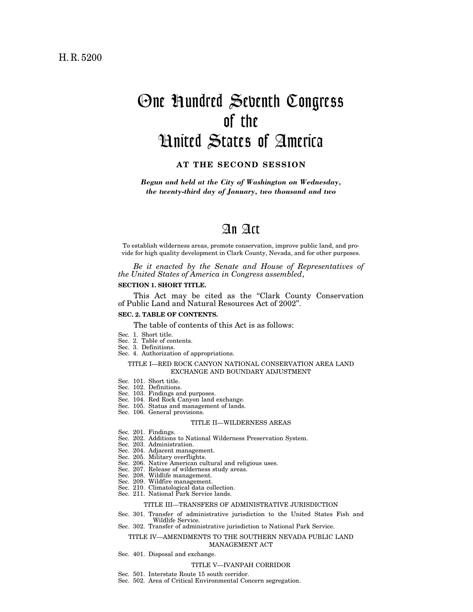# One Hundred Seventh Congress of the United States of America

## **AT THE SECOND SESSION**

*Begun and held at the City of Washington on Wednesday, the twenty-third day of January, two thousand and two* 

## An Act

To establish wilderness areas, promote conservation, improve public land, and provide for high quality development in Clark County, Nevada, and for other purposes.

*Be it enacted by the Senate and House of Representatives of the United States of America in Congress assembled*,

### **SECTION 1. SHORT TITLE.**

This Act may be cited as the ''Clark County Conservation of Public Land and Natural Resources Act of 2002''.

### **SEC. 2. TABLE OF CONTENTS.**

The table of contents of this Act is as follows:

- Sec. 1. Short title.
- Sec. 2. Table of contents.
- Sec. 3. Definitions.
- Sec. 4. Authorization of appropriations.

#### TITLE I—RED ROCK CANYON NATIONAL CONSERVATION AREA LAND EXCHANGE AND BOUNDARY ADJUSTMENT

- Sec. 101. Short title.
- Sec. 102. Definitions.
- Sec. 103. Findings and purposes.
- Sec. 104. Red Rock Canyon land exchange.
- Sec. 105. Status and management of lands.
- Sec. 106. General provisions.

#### TITLE II—WILDERNESS AREAS

- Sec. 201. Findings.
- Sec. 202. Additions to National Wilderness Preservation System.
- Sec. 203. Administration.
- Sec. 204. Adjacent management.
- Sec. 205. Military overflights.
- Sec. 206. Native American cultural and religious uses.
- Sec. 207. Release of wilderness study areas.
- Sec. 208. Wildlife management.
- Sec. 209. Wildfire management.
- Sec. 210. Climatological data collection.
- Sec. 211. National Park Service lands.

## TITLE III—TRANSFERS OF ADMINISTRATIVE JURISDICTION

- Sec. 301. Transfer of administrative jurisdiction to the United States Fish and Wildlife Service.
- Sec. 302. Transfer of administrative jurisdiction to National Park Service.

#### TITLE IV—AMENDMENTS TO THE SOUTHERN NEVADA PUBLIC LAND MANAGEMENT ACT

Sec. 401. Disposal and exchange.

#### TITLE V—IVANPAH CORRIDOR

- Sec. 501. Interstate Route 15 south corridor.
- Sec. 502. Area of Critical Environmental Concern segregation.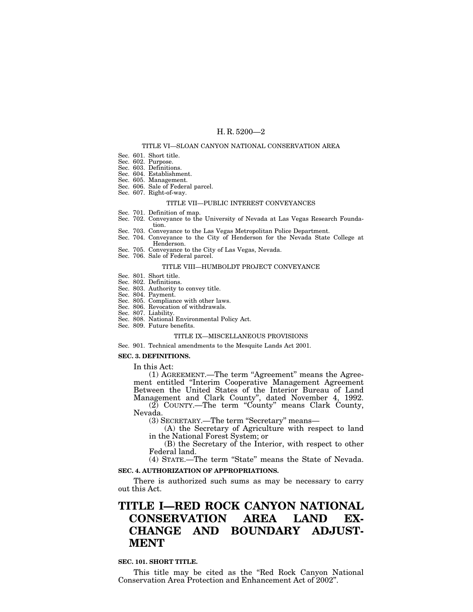#### TITLE VI—SLOAN CANYON NATIONAL CONSERVATION AREA

- Sec. 601. Short title.
- Sec. 602. Purpose.
- Sec. 603. Definitions.
- Sec. 604. Establishment.
- Sec. 605. Management.
- Sec. 606. Sale of Federal parcel.
- Sec. 607. Right-of-way.

#### TITLE VII—PUBLIC INTEREST CONVEYANCES

- Sec. 701. Definition of map. Sec. 702. Conveyance to the University of Nevada at Las Vegas Research Foundation.
- Sec. 703. Conveyance to the Las Vegas Metropolitan Police Department.
- Sec. 704. Conveyance to the City of Henderson for the Nevada State College at Henderson.
- Sec. 705. Conveyance to the City of Las Vegas, Nevada.
- Sec. 706. Sale of Federal parcel.

#### TITLE VIII—HUMBOLDT PROJECT CONVEYANCE

- Sec. 801. Short title.
- Sec. 802. Definitions.
- Sec. 803. Authority to convey title.
- Sec. 804. Payment.
- Sec. 805. Compliance with other laws.
- Sec. 806. Revocation of withdrawals.
- Sec. 807. Liability.
- Sec. 808. National Environmental Policy Act.
- Sec. 809. Future benefits.

#### TITLE IX—MISCELLANEOUS PROVISIONS

Sec. 901. Technical amendments to the Mesquite Lands Act 2001.

## **SEC. 3. DEFINITIONS.**

In this Act:

(1) AGREEMENT.—The term "Agreement" means the Agreement entitled ''Interim Cooperative Management Agreement Between the United States of the Interior Bureau of Land Management and Clark County'', dated November 4, 1992. (2) COUNTY.—The term ''County'' means Clark County,

Nevada.

(3) SECRETARY.—The term "Secretary" means—

(A) the Secretary of Agriculture with respect to land in the National Forest System; or

(B) the Secretary of the Interior, with respect to other Federal land.

(4) STATE.—The term ''State'' means the State of Nevada.

## **SEC. 4. AUTHORIZATION OF APPROPRIATIONS.**

There is authorized such sums as may be necessary to carry out this Act.

## **TITLE I—RED ROCK CANYON NATIONAL CONSERVATION AREA LAND EX-CHANGE AND BOUNDARY ADJUST-MENT**

### **SEC. 101. SHORT TITLE.**

This title may be cited as the "Red Rock Canyon National Conservation Area Protection and Enhancement Act of 2002''.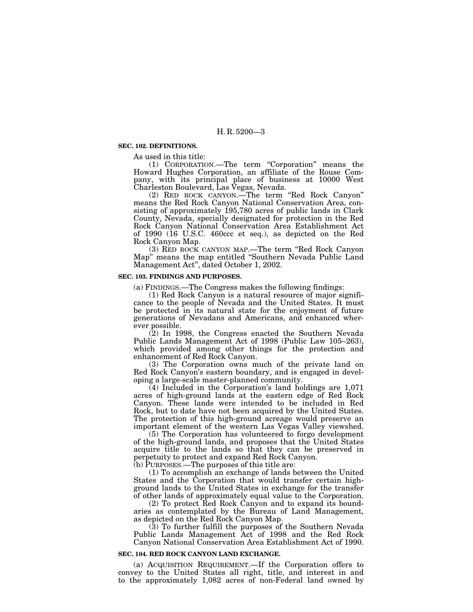#### **SEC. 102. DEFINITIONS.**

As used in this title:

(1) CORPORATION.—The term ''Corporation'' means the Howard Hughes Corporation, an affiliate of the Rouse Company, with its principal place of business at 10000 West Charleston Boulevard, Las Vegas, Nevada.

(2) RED ROCK CANYON.—The term ''Red Rock Canyon'' means the Red Rock Canyon National Conservation Area, consisting of approximately 195,780 acres of public lands in Clark County, Nevada, specially designated for protection in the Red Rock Canyon National Conservation Area Establishment Act of 1990 (16 U.S.C. 460ccc et seq.), as depicted on the Red Rock Canyon Map.

(3) RED ROCK CANYON MAP.—The term ''Red Rock Canyon Map'' means the map entitled ''Southern Nevada Public Land Management Act'', dated October 1, 2002.

## **SEC. 103. FINDINGS AND PURPOSES.**

(a) FINDINGS.—The Congress makes the following findings:

(1) Red Rock Canyon is a natural resource of major significance to the people of Nevada and the United States. It must be protected in its natural state for the enjoyment of future generations of Nevadans and Americans, and enhanced wherever possible.

(2) In 1998, the Congress enacted the Southern Nevada Public Lands Management Act of 1998 (Public Law 105–263), which provided among other things for the protection and enhancement of Red Rock Canyon.

(3) The Corporation owns much of the private land on Red Rock Canyon's eastern boundary, and is engaged in developing a large-scale master-planned community.

(4) Included in the Corporation's land holdings are 1,071 acres of high-ground lands at the eastern edge of Red Rock Canyon. These lands were intended to be included in Red Rock, but to date have not been acquired by the United States. The protection of this high-ground acreage would preserve an important element of the western Las Vegas Valley viewshed.

(5) The Corporation has volunteered to forgo development of the high-ground lands, and proposes that the United States acquire title to the lands so that they can be preserved in perpetuity to protect and expand Red Rock Canyon.

(b) PURPOSES.—The purposes of this title are:

(1) To accomplish an exchange of lands between the United States and the Corporation that would transfer certain highground lands to the United States in exchange for the transfer of other lands of approximately equal value to the Corporation.

(2) To protect Red Rock Canyon and to expand its boundaries as contemplated by the Bureau of Land Management, as depicted on the Red Rock Canyon Map.

(3) To further fulfill the purposes of the Southern Nevada Public Lands Management Act of 1998 and the Red Rock Canyon National Conservation Area Establishment Act of 1990.

#### **SEC. 104. RED ROCK CANYON LAND EXCHANGE.**

(a) ACQUISITION REQUIREMENT.—If the Corporation offers to convey to the United States all right, title, and interest in and to the approximately 1,082 acres of non-Federal land owned by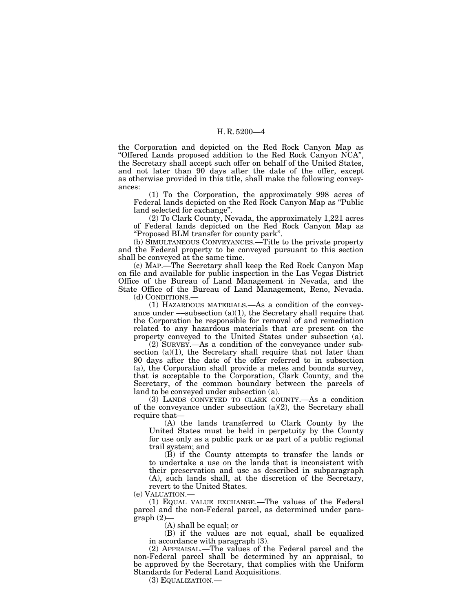the Corporation and depicted on the Red Rock Canyon Map as ''Offered Lands proposed addition to the Red Rock Canyon NCA'', the Secretary shall accept such offer on behalf of the United States, and not later than 90 days after the date of the offer, except as otherwise provided in this title, shall make the following conveyances:

(1) To the Corporation, the approximately 998 acres of Federal lands depicted on the Red Rock Canyon Map as "Public land selected for exchange''.

(2) To Clark County, Nevada, the approximately 1,221 acres of Federal lands depicted on the Red Rock Canyon Map as ''Proposed BLM transfer for county park''.

(b) SIMULTANEOUS CONVEYANCES.—Title to the private property and the Federal property to be conveyed pursuant to this section shall be conveyed at the same time.

(c) MAP.—The Secretary shall keep the Red Rock Canyon Map on file and available for public inspection in the Las Vegas District Office of the Bureau of Land Management in Nevada, and the State Office of the Bureau of Land Management, Reno, Nevada.

(d) CONDITIONS.—

(1) HAZARDOUS MATERIALS.—As a condition of the conveyance under  $-$ subsection (a)(1), the Secretary shall require that the Corporation be responsible for removal of and remediation related to any hazardous materials that are present on the property conveyed to the United States under subsection (a).

(2) SURVEY.—As a condition of the conveyance under subsection  $(a)(1)$ , the Secretary shall require that not later than 90 days after the date of the offer referred to in subsection (a), the Corporation shall provide a metes and bounds survey, that is acceptable to the Corporation, Clark County, and the Secretary, of the common boundary between the parcels of land to be conveyed under subsection (a).

(3) LANDS CONVEYED TO CLARK COUNTY.—As a condition of the conveyance under subsection (a)(2), the Secretary shall require that—

(A) the lands transferred to Clark County by the United States must be held in perpetuity by the County for use only as a public park or as part of a public regional trail system; and

(B) if the County attempts to transfer the lands or to undertake a use on the lands that is inconsistent with their preservation and use as described in subparagraph (A), such lands shall, at the discretion of the Secretary, revert to the United States.

(e) VALUATION.—

(1) EQUAL VALUE EXCHANGE.—The values of the Federal parcel and the non-Federal parcel, as determined under para $graph (2)$ 

(A) shall be equal; or

(B) if the values are not equal, shall be equalized in accordance with paragraph (3).

(2) APPRAISAL.—The values of the Federal parcel and the non-Federal parcel shall be determined by an appraisal, to be approved by the Secretary, that complies with the Uniform Standards for Federal Land Acquisitions.

(3) EQUALIZATION.—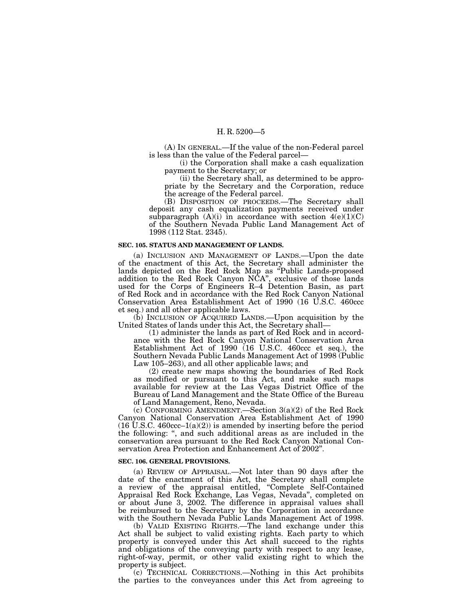(A) IN GENERAL.—If the value of the non-Federal parcel is less than the value of the Federal parcel—

(i) the Corporation shall make a cash equalization payment to the Secretary; or

(ii) the Secretary shall, as determined to be appropriate by the Secretary and the Corporation, reduce the acreage of the Federal parcel.

(B) DISPOSITION OF PROCEEDS.—The Secretary shall deposit any cash equalization payments received under subparagraph  $(A)(i)$  in accordance with section  $4(e)(1)(C)$ of the Southern Nevada Public Land Management Act of 1998 (112 Stat. 2345).

#### **SEC. 105. STATUS AND MANAGEMENT OF LANDS.**

(a) INCLUSION AND MANAGEMENT OF LANDS.—Upon the date of the enactment of this Act, the Secretary shall administer the lands depicted on the Red Rock Map as ''Public Lands-proposed addition to the Red Rock Canyon NCA'', exclusive of those lands used for the Corps of Engineers R–4 Detention Basin, as part of Red Rock and in accordance with the Red Rock Canyon National Conservation Area Establishment Act of 1990 (16 U.S.C. 460ccc et seq.) and all other applicable laws.

 $(b)$  INCLUSION OF ACQUIRED LANDS.—Upon acquisition by the United States of lands under this Act, the Secretary shall—

(1) administer the lands as part of Red Rock and in accordance with the Red Rock Canyon National Conservation Area Establishment Act of 1990 (16 U.S.C. 460ccc et seq.), the Southern Nevada Public Lands Management Act of 1998 (Public Law 105–263), and all other applicable laws; and

(2) create new maps showing the boundaries of Red Rock as modified or pursuant to this Act, and make such maps available for review at the Las Vegas District Office of the Bureau of Land Management and the State Office of the Bureau of Land Management, Reno, Nevada.

(c) CONFORMING AMENDMENT.—Section 3(a)(2) of the Red Rock Canyon National Conservation Area Establishment Act of 1990  $(16 \text{ U.S.C. } 460 \text{ccc} - 1(a)(2))$  is amended by inserting before the period the following: '', and such additional areas as are included in the conservation area pursuant to the Red Rock Canyon National Conservation Area Protection and Enhancement Act of 2002''.

#### **SEC. 106. GENERAL PROVISIONS.**

(a) REVIEW OF APPRAISAL.—Not later than 90 days after the date of the enactment of this Act, the Secretary shall complete a review of the appraisal entitled, ''Complete Self-Contained Appraisal Red Rock Exchange, Las Vegas, Nevada'', completed on or about June 3, 2002. The difference in appraisal values shall be reimbursed to the Secretary by the Corporation in accordance with the Southern Nevada Public Lands Management Act of 1998.

(b) VALID EXISTING RIGHTS.—The land exchange under this Act shall be subject to valid existing rights. Each party to which property is conveyed under this Act shall succeed to the rights and obligations of the conveying party with respect to any lease, right-of-way, permit, or other valid existing right to which the property is subject.

(c) TECHNICAL CORRECTIONS.—Nothing in this Act prohibits the parties to the conveyances under this Act from agreeing to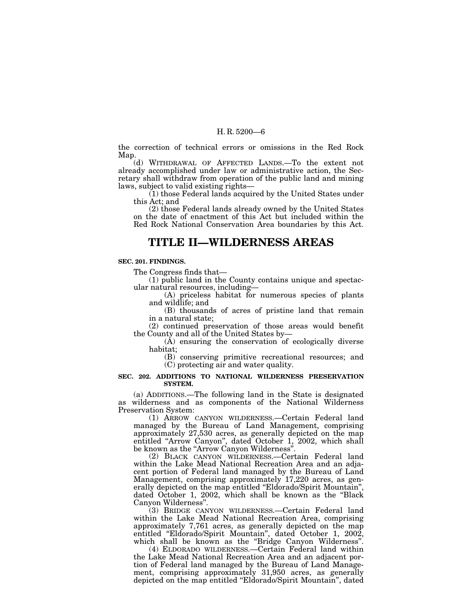the correction of technical errors or omissions in the Red Rock Map.

(d) WITHDRAWAL OF AFFECTED LANDS.—To the extent not already accomplished under law or administrative action, the Secretary shall withdraw from operation of the public land and mining laws, subject to valid existing rights—

(1) those Federal lands acquired by the United States under this Act; and

(2) those Federal lands already owned by the United States on the date of enactment of this Act but included within the Red Rock National Conservation Area boundaries by this Act.

## **TITLE II—WILDERNESS AREAS**

#### **SEC. 201. FINDINGS.**

The Congress finds that—

(1) public land in the County contains unique and spectacular natural resources, including—

(A) priceless habitat for numerous species of plants and wildlife; and

(B) thousands of acres of pristine land that remain in a natural state;

(2) continued preservation of those areas would benefit the County and all of the United States by—

(A) ensuring the conservation of ecologically diverse habitat;

(B) conserving primitive recreational resources; and (C) protecting air and water quality.

#### **SEC. 202. ADDITIONS TO NATIONAL WILDERNESS PRESERVATION SYSTEM.**

(a) ADDITIONS.—The following land in the State is designated as wilderness and as components of the National Wilderness Preservation System:

(1) ARROW CANYON WILDERNESS.—Certain Federal land managed by the Bureau of Land Management, comprising approximately 27,530 acres, as generally depicted on the map entitled ''Arrow Canyon'', dated October 1, 2002, which shall be known as the "Arrow Canyon Wilderness".

(2) BLACK CANYON WILDERNESS.—Certain Federal land within the Lake Mead National Recreation Area and an adjacent portion of Federal land managed by the Bureau of Land Management, comprising approximately 17,220 acres, as generally depicted on the map entitled ''Eldorado/Spirit Mountain'', dated October 1, 2002, which shall be known as the ''Black Canyon Wilderness''.

(3) BRIDGE CANYON WILDERNESS.—Certain Federal land within the Lake Mead National Recreation Area, comprising approximately 7,761 acres, as generally depicted on the map entitled ''Eldorado/Spirit Mountain'', dated October 1, 2002, which shall be known as the ''Bridge Canyon Wilderness''.

(4) ELDORADO WILDERNESS.—Certain Federal land within the Lake Mead National Recreation Area and an adjacent portion of Federal land managed by the Bureau of Land Management, comprising approximately 31,950 acres, as generally depicted on the map entitled ''Eldorado/Spirit Mountain'', dated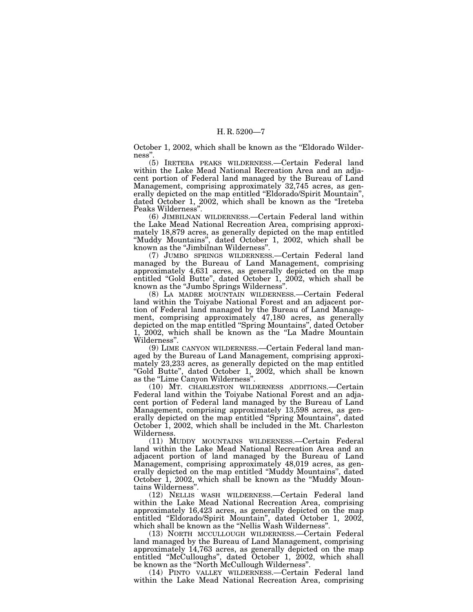October 1, 2002, which shall be known as the "Eldorado Wilderness''.

(5) IRETEBA PEAKS WILDERNESS.—Certain Federal land within the Lake Mead National Recreation Area and an adjacent portion of Federal land managed by the Bureau of Land Management, comprising approximately 32,745 acres, as generally depicted on the map entitled "Eldorado/Spirit Mountain", dated October 1, 2002, which shall be known as the ''Ireteba Peaks Wilderness''.

(6) JIMBILNAN WILDERNESS.—Certain Federal land within the Lake Mead National Recreation Area, comprising approximately 18,879 acres, as generally depicted on the map entitled ''Muddy Mountains'', dated October 1, 2002, which shall be known as the ''Jimbilnan Wilderness''.

(7) JUMBO SPRINGS WILDERNESS.—Certain Federal land managed by the Bureau of Land Management, comprising approximately 4,631 acres, as generally depicted on the map entitled "Gold Butte", dated October 1, 2002, which shall be known as the ''Jumbo Springs Wilderness''.

(8) LA MADRE MOUNTAIN WILDERNESS.—Certain Federal land within the Toiyabe National Forest and an adjacent portion of Federal land managed by the Bureau of Land Management, comprising approximately 47,180 acres, as generally depicted on the map entitled ''Spring Mountains'', dated October 1, 2002, which shall be known as the ''La Madre Mountain Wilderness''.

(9) LIME CANYON WILDERNESS.—Certain Federal land managed by the Bureau of Land Management, comprising approximately 23,233 acres, as generally depicted on the map entitled "Gold Butte", dated October 1, 2002, which shall be known as the "Lime Canyon Wilderness".

(10) MT. CHARLESTON WILDERNESS ADDITIONS.—Certain Federal land within the Toiyabe National Forest and an adjacent portion of Federal land managed by the Bureau of Land Management, comprising approximately 13,598 acres, as generally depicted on the map entitled "Spring Mountains", dated October 1, 2002, which shall be included in the Mt. Charleston Wilderness.

(11) MUDDY MOUNTAINS WILDERNESS.—Certain Federal land within the Lake Mead National Recreation Area and an adjacent portion of land managed by the Bureau of Land Management, comprising approximately 48,019 acres, as generally depicted on the map entitled ''Muddy Mountains'', dated October 1, 2002, which shall be known as the "Muddy Mountains Wilderness''. (12) NELLIS WASH WILDERNESS.—Certain Federal land

within the Lake Mead National Recreation Area, comprising approximately 16,423 acres, as generally depicted on the map entitled ''Eldorado/Spirit Mountain'', dated October 1, 2002,

which shall be known as the ''Nellis Wash Wilderness''. (13) NORTH MCCULLOUGH WILDERNESS.—Certain Federal land managed by the Bureau of Land Management, comprising approximately 14,763 acres, as generally depicted on the map entitled "McCulloughs", dated October 1, 2002, which shall be known as the ''North McCullough Wilderness''.

(14) PINTO VALLEY WILDERNESS.—Certain Federal land within the Lake Mead National Recreation Area, comprising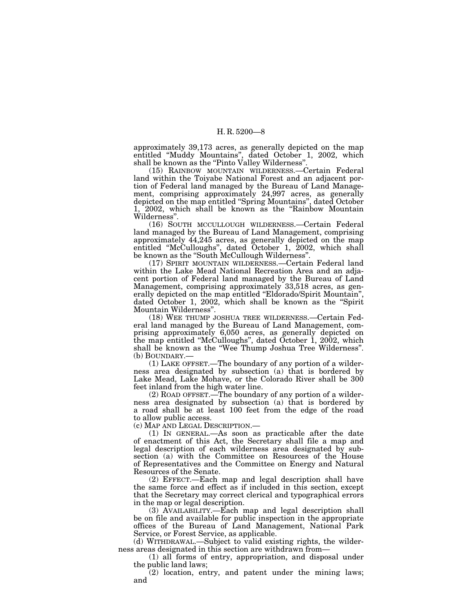approximately 39,173 acres, as generally depicted on the map entitled ''Muddy Mountains'', dated October 1, 2002, which shall be known as the ''Pinto Valley Wilderness''.

(15) RAINBOW MOUNTAIN WILDERNESS.—Certain Federal land within the Toiyabe National Forest and an adjacent portion of Federal land managed by the Bureau of Land Management, comprising approximately 24,997 acres, as generally depicted on the map entitled ''Spring Mountains'', dated October 1, 2002, which shall be known as the ''Rainbow Mountain Wilderness''.

(16) SOUTH MCCULLOUGH WILDERNESS.—Certain Federal land managed by the Bureau of Land Management, comprising approximately 44,245 acres, as generally depicted on the map entitled ''McCulloughs'', dated October 1, 2002, which shall be known as the ''South McCullough Wilderness''.

(17) SPIRIT MOUNTAIN WILDERNESS.—Certain Federal land within the Lake Mead National Recreation Area and an adjacent portion of Federal land managed by the Bureau of Land Management, comprising approximately 33,518 acres, as generally depicted on the map entitled "Eldorado/Spirit Mountain", dated October 1, 2002, which shall be known as the "Spirit" Mountain Wilderness''.

(18) WEE THUMP JOSHUA TREE WILDERNESS.—Certain Federal land managed by the Bureau of Land Management, comprising approximately 6,050 acres, as generally depicted on the map entitled "McCulloughs", dated October 1, 2002, which shall be known as the ''Wee Thump Joshua Tree Wilderness''. (b) BOUNDARY.—

(1) LAKE OFFSET.—The boundary of any portion of a wilderness area designated by subsection (a) that is bordered by Lake Mead, Lake Mohave, or the Colorado River shall be 300 feet inland from the high water line.

(2) ROAD OFFSET.—The boundary of any portion of a wilderness area designated by subsection (a) that is bordered by a road shall be at least 100 feet from the edge of the road to allow public access.

(c) MAP AND LEGAL DESCRIPTION.—

(1) IN GENERAL.—As soon as practicable after the date of enactment of this Act, the Secretary shall file a map and legal description of each wilderness area designated by subsection (a) with the Committee on Resources of the House of Representatives and the Committee on Energy and Natural Resources of the Senate.

(2) EFFECT.—Each map and legal description shall have the same force and effect as if included in this section, except that the Secretary may correct clerical and typographical errors in the map or legal description.

(3) AVAILABILITY.—Each map and legal description shall be on file and available for public inspection in the appropriate offices of the Bureau of Land Management, National Park Service, or Forest Service, as applicable.

(d) WITHDRAWAL.—Subject to valid existing rights, the wilderness areas designated in this section are withdrawn from—

 $(1)$  all forms of entry, appropriation, and disposal under the public land laws;

 $(2)$  location, entry, and patent under the mining laws; and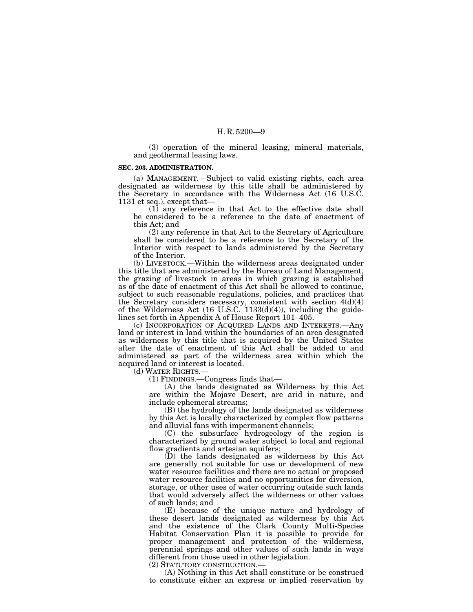(3) operation of the mineral leasing, mineral materials, and geothermal leasing laws.

#### **SEC. 203. ADMINISTRATION.**

(a) MANAGEMENT.—Subject to valid existing rights, each area designated as wilderness by this title shall be administered by the Secretary in accordance with the Wilderness Act (16 U.S.C. 1131 et seq.), except that—

(1) any reference in that Act to the effective date shall be considered to be a reference to the date of enactment of this Act; and

(2) any reference in that Act to the Secretary of Agriculture shall be considered to be a reference to the Secretary of the Interior with respect to lands administered by the Secretary of the Interior.

(b) LIVESTOCK.—Within the wilderness areas designated under this title that are administered by the Bureau of Land Management, the grazing of livestock in areas in which grazing is established as of the date of enactment of this Act shall be allowed to continue, subject to such reasonable regulations, policies, and practices that the Secretary considers necessary, consistent with section 4(d)(4) of the Wilderness Act (16 U.S.C. 1133(d)(4)), including the guidelines set forth in Appendix A of House Report 101–405.

(c) INCORPORATION OF ACQUIRED LANDS AND INTERESTS.—Any land or interest in land within the boundaries of an area designated as wilderness by this title that is acquired by the United States after the date of enactment of this Act shall be added to and administered as part of the wilderness area within which the acquired land or interest is located.

(d) WATER RIGHTS.—

(1) FINDINGS.—Congress finds that—

(A) the lands designated as Wilderness by this Act are within the Mojave Desert, are arid in nature, and include ephemeral streams;

(B) the hydrology of the lands designated as wilderness by this Act is locally characterized by complex flow patterns and alluvial fans with impermanent channels;

(C) the subsurface hydrogeology of the region is characterized by ground water subject to local and regional flow gradients and artesian aquifers;

(D) the lands designated as wilderness by this Act are generally not suitable for use or development of new water resource facilities and there are no actual or proposed water resource facilities and no opportunities for diversion, storage, or other uses of water occurring outside such lands that would adversely affect the wilderness or other values of such lands; and

(E) because of the unique nature and hydrology of these desert lands designated as wilderness by this Act and the existence of the Clark County Multi-Species Habitat Conservation Plan it is possible to provide for proper management and protection of the wilderness, perennial springs and other values of such lands in ways different from those used in other legislation.

(2) STATUTORY CONSTRUCTION.—

(A) Nothing in this Act shall constitute or be construed to constitute either an express or implied reservation by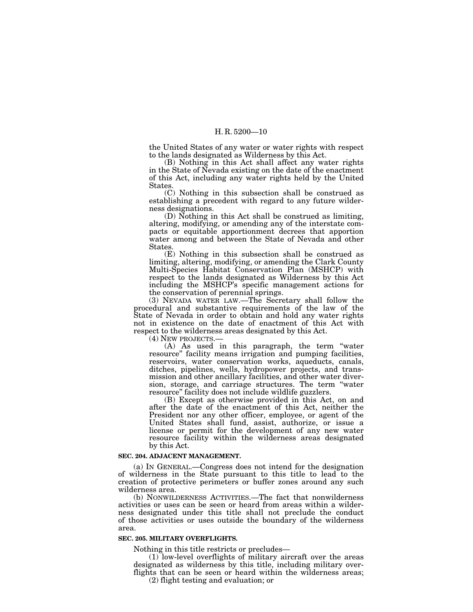the United States of any water or water rights with respect to the lands designated as Wilderness by this Act.

(B) Nothing in this Act shall affect any water rights in the State of Nevada existing on the date of the enactment of this Act, including any water rights held by the United States.

(C) Nothing in this subsection shall be construed as establishing a precedent with regard to any future wilderness designations.

(D) Nothing in this Act shall be construed as limiting, altering, modifying, or amending any of the interstate compacts or equitable apportionment decrees that apportion water among and between the State of Nevada and other States.

(E) Nothing in this subsection shall be construed as limiting, altering, modifying, or amending the Clark County Multi-Species Habitat Conservation Plan (MSHCP) with respect to the lands designated as Wilderness by this Act including the MSHCP's specific management actions for the conservation of perennial springs.

(3) NEVADA WATER LAW.—The Secretary shall follow the procedural and substantive requirements of the law of the State of Nevada in order to obtain and hold any water rights not in existence on the date of enactment of this Act with respect to the wilderness areas designated by this Act.<br>(4) NEW PROJECTS.—

(4) NEW PROJECTS.— (A) As used in this paragraph, the term ''water resource'' facility means irrigation and pumping facilities, reservoirs, water conservation works, aqueducts, canals, ditches, pipelines, wells, hydropower projects, and transmission and other ancillary facilities, and other water diversion, storage, and carriage structures. The term "water resource'' facility does not include wildlife guzzlers.

(B) Except as otherwise provided in this Act, on and after the date of the enactment of this Act, neither the President nor any other officer, employee, or agent of the United States shall fund, assist, authorize, or issue a license or permit for the development of any new water resource facility within the wilderness areas designated by this Act.

#### **SEC. 204. ADJACENT MANAGEMENT.**

(a) IN GENERAL.—Congress does not intend for the designation of wilderness in the State pursuant to this title to lead to the creation of protective perimeters or buffer zones around any such wilderness area.

(b) NONWILDERNESS ACTIVITIES.—The fact that nonwilderness activities or uses can be seen or heard from areas within a wilderness designated under this title shall not preclude the conduct of those activities or uses outside the boundary of the wilderness area.

## **SEC. 205. MILITARY OVERFLIGHTS.**

Nothing in this title restricts or precludes—

(1) low-level overflights of military aircraft over the areas designated as wilderness by this title, including military overflights that can be seen or heard within the wilderness areas;

(2) flight testing and evaluation; or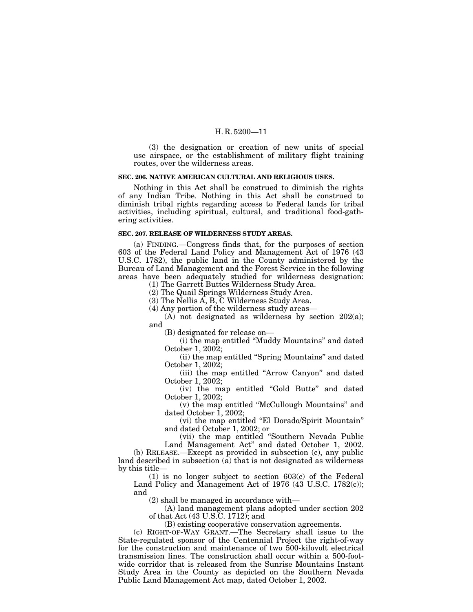(3) the designation or creation of new units of special use airspace, or the establishment of military flight training routes, over the wilderness areas.

## **SEC. 206. NATIVE AMERICAN CULTURAL AND RELIGIOUS USES.**

Nothing in this Act shall be construed to diminish the rights of any Indian Tribe. Nothing in this Act shall be construed to diminish tribal rights regarding access to Federal lands for tribal activities, including spiritual, cultural, and traditional food-gathering activities.

### **SEC. 207. RELEASE OF WILDERNESS STUDY AREAS.**

(a) FINDING.—Congress finds that, for the purposes of section 603 of the Federal Land Policy and Management Act of 1976 (43 U.S.C. 1782), the public land in the County administered by the Bureau of Land Management and the Forest Service in the following areas have been adequately studied for wilderness designation:

(1) The Garrett Buttes Wilderness Study Area.

(2) The Quail Springs Wilderness Study Area.

(3) The Nellis A, B, C Wilderness Study Area.

(4) Any portion of the wilderness study areas—

(A) not designated as wilderness by section 202(a); and

(B) designated for release on—

(i) the map entitled ''Muddy Mountains'' and dated October 1, 2002;

(ii) the map entitled ''Spring Mountains'' and dated October 1, 2002;

(iii) the map entitled ''Arrow Canyon'' and dated October 1, 2002;

(iv) the map entitled ''Gold Butte'' and dated October 1, 2002;

(v) the map entitled ''McCullough Mountains'' and dated October  $\overline{1}$ , 2002;

(vi) the map entitled ''El Dorado/Spirit Mountain'' and dated October 1, 2002; or

(vii) the map entitled ''Southern Nevada Public

Land Management Act'' and dated October 1, 2002. (b) RELEASE.—Except as provided in subsection (c), any public land described in subsection (a) that is not designated as wilderness by this title—

(1) is no longer subject to section 603(c) of the Federal Land Policy and Management Act of 1976 (43 U.S.C. 1782(c)); and

(2) shall be managed in accordance with—

(A) land management plans adopted under section 202 of that Act (43 U.S.C. 1712); and

(B) existing cooperative conservation agreements.

(c) RIGHT-OF-WAY GRANT.—The Secretary shall issue to the State-regulated sponsor of the Centennial Project the right-of-way for the construction and maintenance of two 500-kilovolt electrical transmission lines. The construction shall occur within a 500-footwide corridor that is released from the Sunrise Mountains Instant Study Area in the County as depicted on the Southern Nevada Public Land Management Act map, dated October 1, 2002.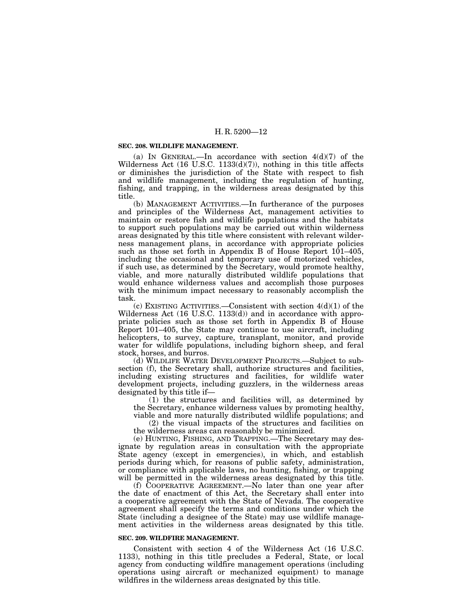#### **SEC. 208. WILDLIFE MANAGEMENT.**

(a) IN GENERAL.—In accordance with section  $4(d)(7)$  of the Wilderness Act (16 U.S.C. 1133(d)(7)), nothing in this title affects or diminishes the jurisdiction of the State with respect to fish and wildlife management, including the regulation of hunting, fishing, and trapping, in the wilderness areas designated by this title.

(b) MANAGEMENT ACTIVITIES.—In furtherance of the purposes and principles of the Wilderness Act, management activities to maintain or restore fish and wildlife populations and the habitats to support such populations may be carried out within wilderness areas designated by this title where consistent with relevant wilderness management plans, in accordance with appropriate policies such as those set forth in Appendix B of House Report 101–405, including the occasional and temporary use of motorized vehicles, if such use, as determined by the Secretary, would promote healthy, viable, and more naturally distributed wildlife populations that would enhance wilderness values and accomplish those purposes with the minimum impact necessary to reasonably accomplish the task.

(c) EXISTING ACTIVITIES.—Consistent with section  $4(d)(1)$  of the Wilderness Act (16 U.S.C. 1133(d)) and in accordance with appropriate policies such as those set forth in Appendix B of House Report 101–405, the State may continue to use aircraft, including helicopters, to survey, capture, transplant, monitor, and provide water for wildlife populations, including bighorn sheep, and feral stock, horses, and burros.

(d) WILDLIFE WATER DEVELOPMENT PROJECTS.—Subject to subsection (f), the Secretary shall, authorize structures and facilities, including existing structures and facilities, for wildlife water development projects, including guzzlers, in the wilderness areas designated by this title if—

(1) the structures and facilities will, as determined by the Secretary, enhance wilderness values by promoting healthy, viable and more naturally distributed wildlife populations; and

(2) the visual impacts of the structures and facilities on the wilderness areas can reasonably be minimized.

(e) HUNTING, FISHING, AND TRAPPING.—The Secretary may designate by regulation areas in consultation with the appropriate State agency (except in emergencies), in which, and establish periods during which, for reasons of public safety, administration, or compliance with applicable laws, no hunting, fishing, or trapping will be permitted in the wilderness areas designated by this title.

(f) COOPERATIVE AGREEMENT.—No later than one year after the date of enactment of this Act, the Secretary shall enter into a cooperative agreement with the State of Nevada. The cooperative agreement shall specify the terms and conditions under which the State (including a designee of the State) may use wildlife management activities in the wilderness areas designated by this title.

#### **SEC. 209. WILDFIRE MANAGEMENT.**

Consistent with section 4 of the Wilderness Act (16 U.S.C. 1133), nothing in this title precludes a Federal, State, or local agency from conducting wildfire management operations (including operations using aircraft or mechanized equipment) to manage wildfires in the wilderness areas designated by this title.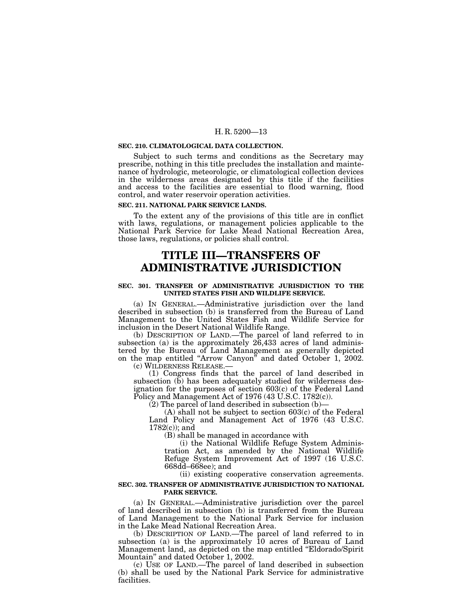#### **SEC. 210. CLIMATOLOGICAL DATA COLLECTION.**

Subject to such terms and conditions as the Secretary may prescribe, nothing in this title precludes the installation and maintenance of hydrologic, meteorologic, or climatological collection devices in the wilderness areas designated by this title if the facilities and access to the facilities are essential to flood warning, flood control, and water reservoir operation activities.

#### **SEC. 211. NATIONAL PARK SERVICE LANDS.**

To the extent any of the provisions of this title are in conflict with laws, regulations, or management policies applicable to the National Park Service for Lake Mead National Recreation Area, those laws, regulations, or policies shall control.

## **TITLE III—TRANSFERS OF ADMINISTRATIVE JURISDICTION**

#### **SEC. 301. TRANSFER OF ADMINISTRATIVE JURISDICTION TO THE UNITED STATES FISH AND WILDLIFE SERVICE.**

(a) IN GENERAL.—Administrative jurisdiction over the land described in subsection (b) is transferred from the Bureau of Land Management to the United States Fish and Wildlife Service for inclusion in the Desert National Wildlife Range.

(b) DESCRIPTION OF LAND.—The parcel of land referred to in subsection (a) is the approximately 26,433 acres of land administered by the Bureau of Land Management as generally depicted on the map entitled ''Arrow Canyon'' and dated October 1, 2002. (c) WILDERNESS RELEASE.—

(1) Congress finds that the parcel of land described in subsection  $(\bar{b})$  has been adequately studied for wilderness designation for the purposes of section 603(c) of the Federal Land Policy and Management Act of 1976 (43 U.S.C. 1782(c)).

 $(2)$  The parcel of land described in subsection  $(b)$ —

 $(A)$  shall not be subject to section 603 $(c)$  of the Federal Land Policy and Management Act of 1976 (43 U.S.C. 1782(c)); and

(B) shall be managed in accordance with

(i) the National Wildlife Refuge System Administration Act, as amended by the National Wildlife Refuge System Improvement Act of 1997 (16 U.S.C. 668dd–668ee); and

(ii) existing cooperative conservation agreements.

### **SEC. 302. TRANSFER OF ADMINISTRATIVE JURISDICTION TO NATIONAL PARK SERVICE.**

(a) IN GENERAL.—Administrative jurisdiction over the parcel of land described in subsection (b) is transferred from the Bureau of Land Management to the National Park Service for inclusion in the Lake Mead National Recreation Area.

(b) DESCRIPTION OF LAND.—The parcel of land referred to in subsection (a) is the approximately 10 acres of Bureau of Land Management land, as depicted on the map entitled ''Eldorado/Spirit Mountain'' and dated October 1, 2002.

(c) USE OF LAND.—The parcel of land described in subsection (b) shall be used by the National Park Service for administrative facilities.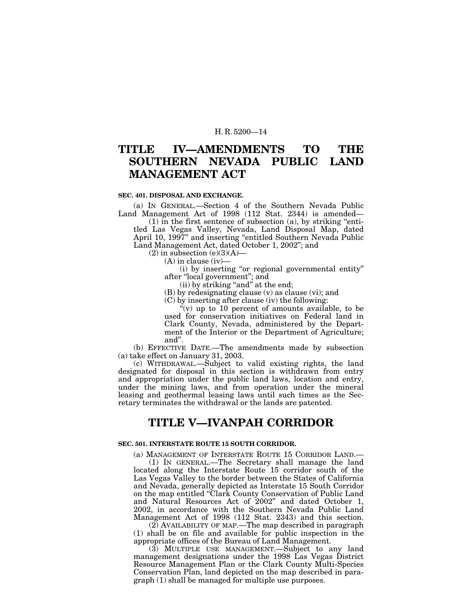#### **TITLE IV—AMENDMENTS SOUTHERN NEVADA PUB LIC MANAGEMENT ACT TO THE LAND**

## **SEC. 401. DISPOSAL AND EXCHANGE.**

(a) IN GENERAL.—Section 4 of the Southern Nevada Public Land Management Act of 1998 (112 Stat. 2344) is amended—

 $(1)$  in the first sentence of subsection  $(a)$ , by striking "entitled Las Vegas Valley, Nevada, Land Disposal Map, dated April 10, 1997" and inserting "entitled Southern Nevada Public Land Management Act, dated October 1, 2002''; and

 $(2)$  in subsection  $(e)(3)(A)$ —

 $(A)$  in clause (iv)

(i) by inserting ''or regional governmental entity'' after ''local government''; and

(ii) by striking "and" at the end;

(B) by redesignating clause (v) as clause (vi); and

(C) by inserting after clause (iv) the following:

 $\sqrt[a]{(v)}$  up to 10 percent of amounts available, to be used for conservation initiatives on Federal land in Clark County, Nevada, administered by the Department of the Interior or the Department of Agriculture; and''.

(b) EFFECTIVE DATE.—The amendments made by subsection (a) take effect on January 31, 2003.

(c) WITHDRAWAL.—Subject to valid existing rights, the land designated for disposal in this section is withdrawn from entry and appropriation under the public land laws, location and entry, under the mining laws, and from operation under the mineral leasing and geothermal leasing laws until such times as the Secretary terminates the withdrawal or the lands are patented.

## **TITLE V—IVANPAH CORRIDOR**

## **SEC. 501. INTERSTATE ROUTE 15 SOUTH CORRIDOR.**

(a) MANAGEMENT OF INTERSTATE ROUTE 15 CORRIDOR LAND.—

(1) IN GENERAL.—The Secretary shall manage the land located along the Interstate Route 15 corridor south of the Las Vegas Valley to the border between the States of California and Nevada, generally depicted as Interstate 15 South Corridor on the map entitled ''Clark County Conservation of Public Land and Natural Resources Act of 2002'' and dated October 1, 2002, in accordance with the Southern Nevada Public Land Management Act of 1998 (112 Stat. 2343) and this section.

(2) AVAILABILITY OF MAP.—The map described in paragraph (1) shall be on file and available for public inspection in the appropriate offices of the Bureau of Land Management.

(3) MULTIPLE USE MANAGEMENT.—Subject to any land management designations under the 1998 Las Vegas District Resource Management Plan or the Clark County Multi-Species Conservation Plan, land depicted on the map described in paragraph (1) shall be managed for multiple use purposes.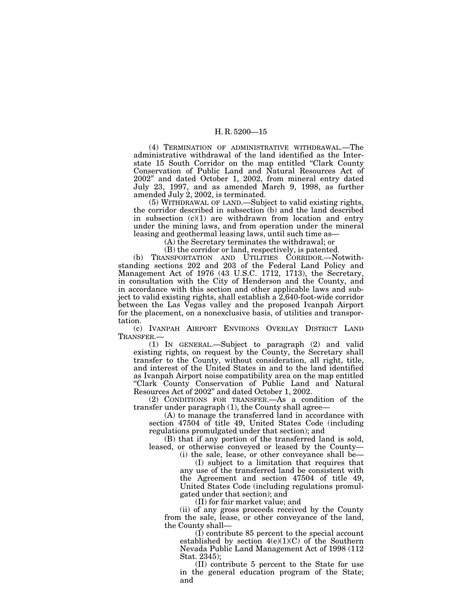(4) TERMINATION OF ADMINISTRATIVE WITHDRAWAL.—The administrative withdrawal of the land identified as the Interstate 15 South Corridor on the map entitled "Clark County" Conservation of Public Land and Natural Resources Act of 2002'' and dated October 1, 2002, from mineral entry dated July 23, 1997, and as amended March 9, 1998, as further amended July 2, 2002, is terminated.

(5) WITHDRAWAL OF LAND.—Subject to valid existing rights, the corridor described in subsection (b) and the land described in subsection  $(c)(1)$  are withdrawn from location and entry under the mining laws, and from operation under the mineral leasing and geothermal leasing laws, until such time as—

(A) the Secretary terminates the withdrawal; or

(B) the corridor or land, respectively, is patented.

(b) TRANSPORTATION AND UTILITIES CORRIDOR.—Notwithstanding sections 202 and 203 of the Federal Land Policy and Management Act of 1976 (43 U.S.C. 1712, 1713), the Secretary, in consultation with the City of Henderson and the County, and in accordance with this section and other applicable laws and subject to valid existing rights, shall establish a 2,640-foot-wide corridor between the Las Vegas valley and the proposed Ivanpah Airport for the placement, on a nonexclusive basis, of utilities and transportation.

(c) IVANPAH AIRPORT ENVIRONS OVERLAY DISTRICT LAND TRANSFER.—

(1) IN GENERAL.—Subject to paragraph (2) and valid existing rights, on request by the County, the Secretary shall transfer to the County, without consideration, all right, title, and interest of the United States in and to the land identified as Ivanpah Airport noise compatibility area on the map entitled ''Clark County Conservation of Public Land and Natural Resources Act of 2002'' and dated October 1, 2002.

(2) CONDITIONS FOR TRANSFER.—As a condition of the transfer under paragraph (1), the County shall agree—

(A) to manage the transferred land in accordance with section 47504 of title 49, United States Code (including regulations promulgated under that section); and

(B) that if any portion of the transferred land is sold, leased, or otherwise conveyed or leased by the County—

(i) the sale, lease, or other conveyance shall be—

(I) subject to a limitation that requires that any use of the transferred land be consistent with the Agreement and section 47504 of title 49, United States Code (including regulations promulgated under that section); and

(II) for fair market value; and

(ii) of any gross proceeds received by the County from the sale, lease, or other conveyance of the land, the County shall—

(I) contribute 85 percent to the special account established by section  $4(e)(1)(C)$  of the Southern Nevada Public Land Management Act of 1998 (112 Stat. 2345);

(II) contribute 5 percent to the State for use in the general education program of the State; and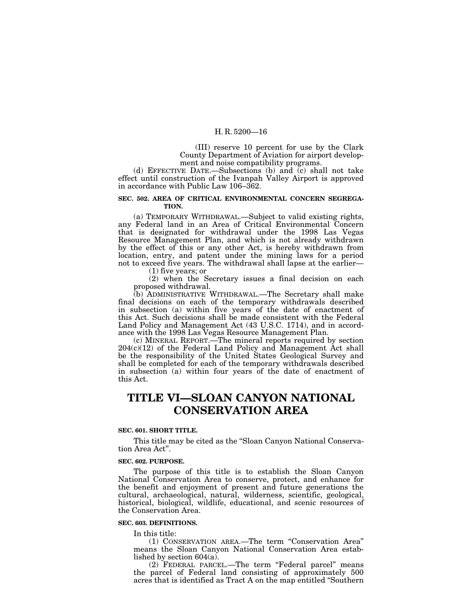(III) reserve 10 percent for use by the Clark County Department of Aviation for airport development and noise compatibility programs.

(d) EFFECTIVE DATE.—Subsections (b) and (c) shall not take effect until construction of the Ivanpah Valley Airport is approved in accordance with Public Law 106–362.

#### **SEC. 502. AREA OF CRITICAL ENVIRONMENTAL CONCERN SEGREGA-TION.**

(a) TEMPORARY WITHDRAWAL.—Subject to valid existing rights, any Federal land in an Area of Critical Environmental Concern that is designated for withdrawal under the 1998 Las Vegas Resource Management Plan, and which is not already withdrawn by the effect of this or any other Act, is hereby withdrawn from location, entry, and patent under the mining laws for a period not to exceed five years. The withdrawal shall lapse at the earlier— (1) five years; or

(2) when the Secretary issues a final decision on each proposed withdrawal.

(b) ADMINISTRATIVE WITHDRAWAL.—The Secretary shall make final decisions on each of the temporary withdrawals described in subsection (a) within five years of the date of enactment of this Act. Such decisions shall be made consistent with the Federal Land Policy and Management Act (43 U.S.C. 1714), and in accordance with the 1998 Las Vegas Resource Management Plan.

(c) MINERAL REPORT.—The mineral reports required by section 204(c)(12) of the Federal Land Policy and Management Act shall be the responsibility of the United States Geological Survey and shall be completed for each of the temporary withdrawals described in subsection (a) within four years of the date of enactment of this Act.

## **TITLE VI—SLOAN CANYON NATIONAL CONSERVATION AREA**

#### **SEC. 601. SHORT TITLE.**

This title may be cited as the "Sloan Canyon National Conservation Area Act''.

#### **SEC. 602. PURPOSE.**

The purpose of this title is to establish the Sloan Canyon National Conservation Area to conserve, protect, and enhance for the benefit and enjoyment of present and future generations the cultural, archaeological, natural, wilderness, scientific, geological, historical, biological, wildlife, educational, and scenic resources of the Conservation Area.

## **SEC. 603. DEFINITIONS.**

In this title:

(1) CONSERVATION AREA.—The term ''Conservation Area'' means the Sloan Canyon National Conservation Area established by section 604(a).

(2) FEDERAL PARCEL.—The term ''Federal parcel'' means the parcel of Federal land consisting of approximately 500 acres that is identified as Tract A on the map entitled ''Southern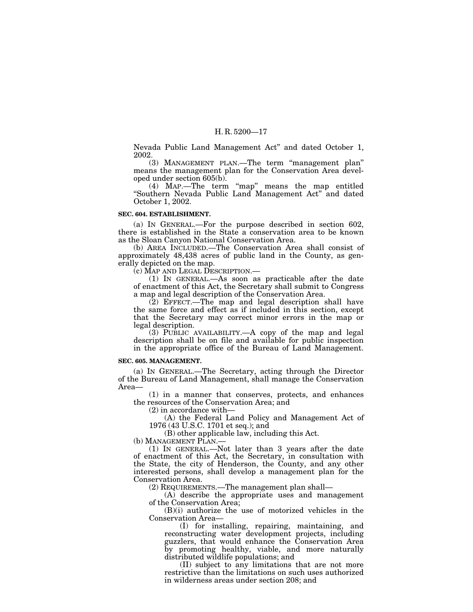Nevada Public Land Management Act'' and dated October 1, 2002.

(3) MANAGEMENT PLAN.—The term ''management plan'' means the management plan for the Conservation Area developed under section 605(b).

(4) MAP.—The term ''map'' means the map entitled "Southern Nevada Public Land Management Act" and dated October 1, 2002.

#### **SEC. 604. ESTABLISHMENT.**

(a) IN GENERAL.—For the purpose described in section 602, there is established in the State a conservation area to be known as the Sloan Canyon National Conservation Area.

(b) AREA INCLUDED.—The Conservation Area shall consist of approximately 48,438 acres of public land in the County, as generally depicted on the map.

(c) MAP AND LEGAL DESCRIPTION.—

(1) IN GENERAL.—As soon as practicable after the date of enactment of this Act, the Secretary shall submit to Congress a map and legal description of the Conservation Area.

(2) EFFECT.—The map and legal description shall have the same force and effect as if included in this section, except that the Secretary may correct minor errors in the map or legal description.

(3) PUBLIC AVAILABILITY.—A copy of the map and legal description shall be on file and available for public inspection in the appropriate office of the Bureau of Land Management.

#### **SEC. 605. MANAGEMENT.**

(a) IN GENERAL.—The Secretary, acting through the Director of the Bureau of Land Management, shall manage the Conservation Area—

(1) in a manner that conserves, protects, and enhances the resources of the Conservation Area; and

(2) in accordance with—

(A) the Federal Land Policy and Management Act of 1976 (43 U.S.C. 1701 et seq.); and

(B) other applicable law, including this Act.

(b) MANAGEMENT PLAN.—

(1) IN GENERAL.—Not later than 3 years after the date of enactment of this Act, the Secretary, in consultation with the State, the city of Henderson, the County, and any other interested persons, shall develop a management plan for the Conservation Area.

(2) REQUIREMENTS.—The management plan shall—

(A) describe the appropriate uses and management of the Conservation Area;

(B)(i) authorize the use of motorized vehicles in the Conservation Area—

(I) for installing, repairing, maintaining, and reconstructing water development projects, including guzzlers, that would enhance the Conservation Area by promoting healthy, viable, and more naturally distributed wildlife populations; and

(II) subject to any limitations that are not more restrictive than the limitations on such uses authorized in wilderness areas under section 208; and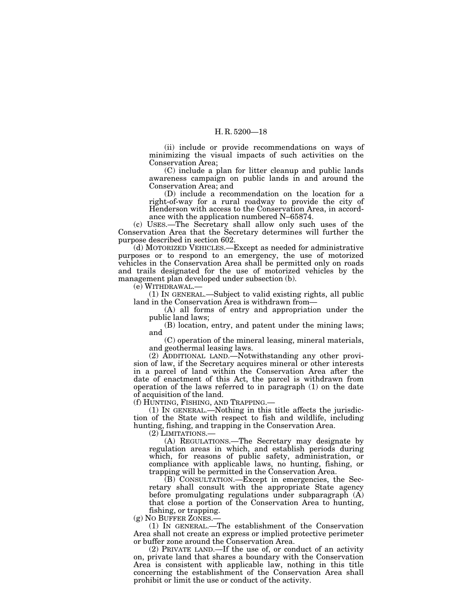(ii) include or provide recommendations on ways of minimizing the visual impacts of such activities on the Conservation Area;

(C) include a plan for litter cleanup and public lands awareness campaign on public lands in and around the Conservation Area; and

(D) include a recommendation on the location for a right-of-way for a rural roadway to provide the city of Henderson with access to the Conservation Area, in accordance with the application numbered N–65874.

(c) USES.—The Secretary shall allow only such uses of the Conservation Area that the Secretary determines will further the purpose described in section 602.

(d) MOTORIZED VEHICLES.—Except as needed for administrative purposes or to respond to an emergency, the use of motorized vehicles in the Conservation Area shall be permitted only on roads and trails designated for the use of motorized vehicles by the management plan developed under subsection (b).

(e) WITHDRAWAL.—

(1) IN GENERAL.—Subject to valid existing rights, all public land in the Conservation Area is withdrawn from—

(A) all forms of entry and appropriation under the public land laws;

(B) location, entry, and patent under the mining laws; and

(C) operation of the mineral leasing, mineral materials, and geothermal leasing laws.

(2) ADDITIONAL LAND.—Notwithstanding any other provision of law, if the Secretary acquires mineral or other interests in a parcel of land within the Conservation Area after the date of enactment of this Act, the parcel is withdrawn from operation of the laws referred to in paragraph (1) on the date of acquisition of the land.

(f) HUNTING, FISHING, AND TRAPPING.—

(1) IN GENERAL.—Nothing in this title affects the jurisdiction of the State with respect to fish and wildlife, including hunting, fishing, and trapping in the Conservation Area.

(2) LIMITATIONS.—

(A) REGULATIONS.—The Secretary may designate by regulation areas in which, and establish periods during which, for reasons of public safety, administration, or compliance with applicable laws, no hunting, fishing, or trapping will be permitted in the Conservation Area.

(B) CONSULTATION.—Except in emergencies, the Secretary shall consult with the appropriate State agency before promulgating regulations under subparagraph (A) that close a portion of the Conservation Area to hunting, fishing, or trapping.

(g) NO BUFFER ZONES.—

(1) IN GENERAL.—The establishment of the Conservation Area shall not create an express or implied protective perimeter or buffer zone around the Conservation Area.

(2) PRIVATE LAND.—If the use of, or conduct of an activity on, private land that shares a boundary with the Conservation Area is consistent with applicable law, nothing in this title concerning the establishment of the Conservation Area shall prohibit or limit the use or conduct of the activity.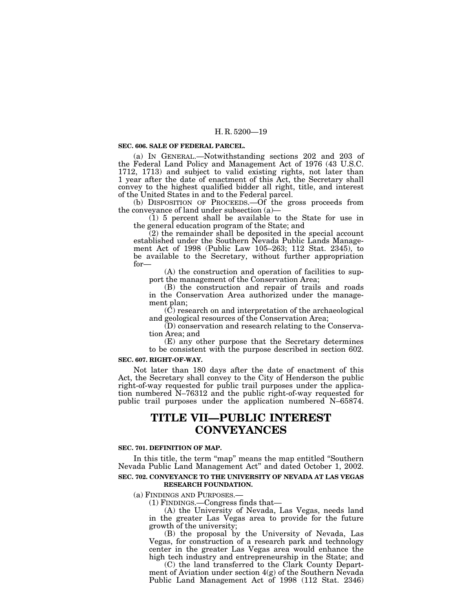#### **SEC. 606. SALE OF FEDERAL PARCEL.**

(a) IN GENERAL.—Notwithstanding sections 202 and 203 of the Federal Land Policy and Management Act of 1976 (43 U.S.C. 1712, 1713) and subject to valid existing rights, not later than 1 year after the date of enactment of this Act, the Secretary shall convey to the highest qualified bidder all right, title, and interest of the United States in and to the Federal parcel.

(b) DISPOSITION OF PROCEEDS.—Of the gross proceeds from the conveyance of land under subsection  $(a)$ —

 $(1)$  5 percent shall be available to the State for use in the general education program of the State; and

(2) the remainder shall be deposited in the special account established under the Southern Nevada Public Lands Management Act of 1998 (Public Law 105–263; 112 Stat. 2345), to be available to the Secretary, without further appropriation for—

(A) the construction and operation of facilities to support the management of the Conservation Area;

(B) the construction and repair of trails and roads in the Conservation Area authorized under the management plan;

(C) research on and interpretation of the archaeological and geological resources of the Conservation Area;

(D) conservation and research relating to the Conservation Area; and

(E) any other purpose that the Secretary determines to be consistent with the purpose described in section 602.

#### **SEC. 607. RIGHT-OF-WAY.**

Not later than 180 days after the date of enactment of this Act, the Secretary shall convey to the City of Henderson the public right-of-way requested for public trail purposes under the application numbered N–76312 and the public right-of-way requested for public trail purposes under the application numbered N–65874.

## **TITLE VII—PUBLIC INTEREST CONVEYANCES**

#### **SEC. 701. DEFINITION OF MAP.**

In this title, the term "map" means the map entitled "Southern Nevada Public Land Management Act'' and dated October 1, 2002.

## **SEC. 702. CONVEYANCE TO THE UNIVERSITY OF NEVADA AT LAS VEGAS RESEARCH FOUNDATION.**

(a) FINDINGS AND PURPOSES.—

(1) FINDINGS.—Congress finds that—

(A) the University of Nevada, Las Vegas, needs land in the greater Las Vegas area to provide for the future growth of the university;

(B) the proposal by the University of Nevada, Las Vegas, for construction of a research park and technology center in the greater Las Vegas area would enhance the high tech industry and entrepreneurship in the State; and

(C) the land transferred to the Clark County Department of Aviation under section 4(g) of the Southern Nevada Public Land Management Act of 1998 (112 Stat. 2346)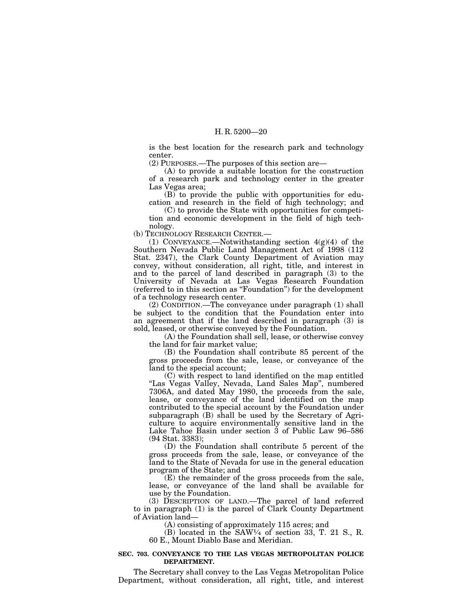is the best location for the research park and technology center.

(2) PURPOSES.—The purposes of this section are—

(A) to provide a suitable location for the construction of a research park and technology center in the greater Las Vegas area;

(B) to provide the public with opportunities for education and research in the field of high technology; and

(C) to provide the State with opportunities for competition and economic development in the field of high technology.

(b) TECHNOLOGY RESEARCH CENTER.—

(1) CONVEYANCE.—Notwithstanding section 4(g)(4) of the Southern Nevada Public Land Management Act of 1998 (112 Stat. 2347), the Clark County Department of Aviation may convey, without consideration, all right, title, and interest in and to the parcel of land described in paragraph (3) to the University of Nevada at Las Vegas Research Foundation (referred to in this section as ''Foundation'') for the development of a technology research center.

(2) CONDITION.—The conveyance under paragraph (1) shall be subject to the condition that the Foundation enter into an agreement that if the land described in paragraph (3) is sold, leased, or otherwise conveyed by the Foundation.

(A) the Foundation shall sell, lease, or otherwise convey the land for fair market value;

(B) the Foundation shall contribute 85 percent of the gross proceeds from the sale, lease, or conveyance of the land to the special account;

(C) with respect to land identified on the map entitled ''Las Vegas Valley, Nevada, Land Sales Map'', numbered 7306A, and dated May 1980, the proceeds from the sale, lease, or conveyance of the land identified on the map contributed to the special account by the Foundation under subparagraph (B) shall be used by the Secretary of Agriculture to acquire environmentally sensitive land in the Lake Tahoe Basin under section 3 of Public Law 96–586 (94 Stat. 3383);

(D) the Foundation shall contribute 5 percent of the gross proceeds from the sale, lease, or conveyance of the land to the State of Nevada for use in the general education program of the State; and

(E) the remainder of the gross proceeds from the sale, lease, or conveyance of the land shall be available for use by the Foundation.

(3) DESCRIPTION OF LAND.—The parcel of land referred to in paragraph (1) is the parcel of Clark County Department of Aviation land—

(A) consisting of approximately 115 acres; and

(B) located in the SAW1⁄4 of section 33, T. 21 S., R. 60 E., Mount Diablo Base and Meridian.

### **SEC. 703. CONVEYANCE TO THE LAS VEGAS METROPOLITAN POLICE DEPARTMENT.**

The Secretary shall convey to the Las Vegas Metropolitan Police Department, without consideration, all right, title, and interest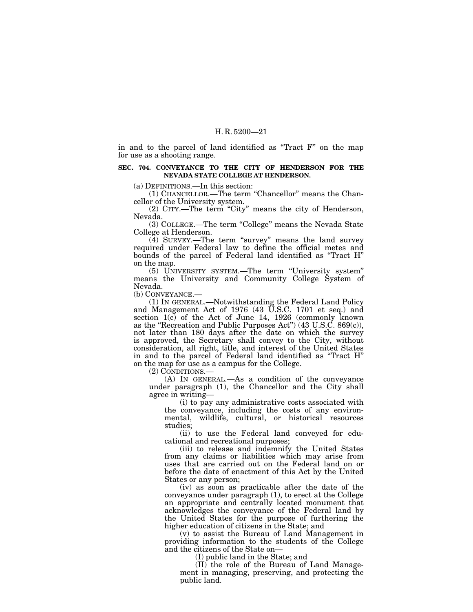in and to the parcel of land identified as ''Tract F'' on the map for use as a shooting range.

### **SEC. 704. CONVEYANCE TO THE CITY OF HENDERSON FOR THE NEVADA STATE COLLEGE AT HENDERSON.**

(a) DEFINITIONS.—In this section:

(1) CHANCELLOR.—The term ''Chancellor'' means the Chancellor of the University system.

(2) CITY.—The term ''City'' means the city of Henderson, Nevada.

(3) COLLEGE.—The term ''College'' means the Nevada State College at Henderson.

(4) SURVEY.—The term ''survey'' means the land survey required under Federal law to define the official metes and bounds of the parcel of Federal land identified as ''Tract H'' on the map.

(5) UNIVERSITY SYSTEM.—The term ''University system'' means the University and Community College System of Nevada.

(b) CONVEYANCE.—

(1) IN GENERAL.—Notwithstanding the Federal Land Policy and Management Act of 1976 (43 U.S.C. 1701 et seq.) and section 1(c) of the Act of June 14, 1926 (commonly known as the ''Recreation and Public Purposes Act'') (43 U.S.C. 869(c)), not later than 180 days after the date on which the survey is approved, the Secretary shall convey to the City, without consideration, all right, title, and interest of the United States in and to the parcel of Federal land identified as ''Tract H'' on the map for use as a campus for the College.

(2) CONDITIONS.—

(A) IN GENERAL.—As a condition of the conveyance under paragraph (1), the Chancellor and the City shall agree in writing—

(i) to pay any administrative costs associated with the conveyance, including the costs of any environmental, wildlife, cultural, or historical resources studies;

(ii) to use the Federal land conveyed for educational and recreational purposes;

(iii) to release and indemnify the United States from any claims or liabilities which may arise from uses that are carried out on the Federal land on or before the date of enactment of this Act by the United States or any person;

(iv) as soon as practicable after the date of the conveyance under paragraph (1), to erect at the College an appropriate and centrally located monument that acknowledges the conveyance of the Federal land by the United States for the purpose of furthering the higher education of citizens in the State; and

(v) to assist the Bureau of Land Management in providing information to the students of the College and the citizens of the State on—

(I) public land in the State; and

(II) the role of the Bureau of Land Management in managing, preserving, and protecting the public land.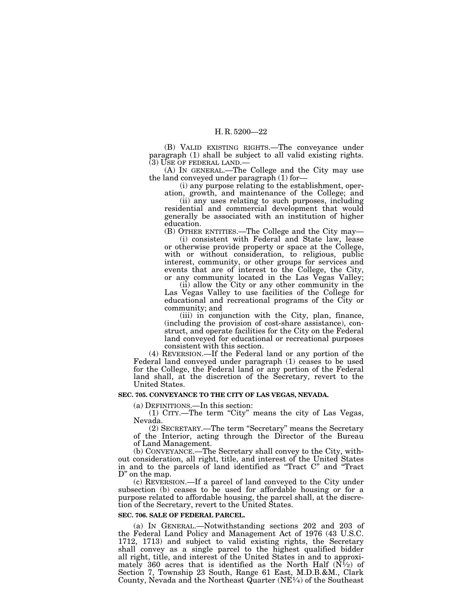(B) VALID EXISTING RIGHTS.—The conveyance under paragraph (1) shall be subject to all valid existing rights.

(3) USE OF FEDERAL LAND.—<br>(A) IN GENERAL.—The College and the City may use the land conveyed under paragraph (1) for—

(i) any purpose relating to the establishment, oper-

ation, growth, and maintenance of the College; and (ii) any uses relating to such purposes, including residential and commercial development that would generally be associated with an institution of higher education.

(B) OTHER ENTITIES.—The College and the City may— (i) consistent with Federal and State law, lease

or otherwise provide property or space at the College, with or without consideration, to religious, public interest, community, or other groups for services and events that are of interest to the College, the City, or any community located in the Las Vegas Valley;

(ii) allow the City or any other community in the Las Vegas Valley to use facilities of the College for educational and recreational programs of the City or community; and

(iii) in conjunction with the City, plan, finance, (including the provision of cost-share assistance), construct, and operate facilities for the City on the Federal land conveyed for educational or recreational purposes consistent with this section.

(4) REVERSION.—If the Federal land or any portion of the Federal land conveyed under paragraph (1) ceases to be used for the College, the Federal land or any portion of the Federal land shall, at the discretion of the Secretary, revert to the United States.

## **SEC. 705. CONVEYANCE TO THE CITY OF LAS VEGAS, NEVADA.**

(a) DEFINITIONS.—In this section:

(1) CITY.—The term ''City'' means the city of Las Vegas, Nevada.

(2) SECRETARY.—The term ''Secretary'' means the Secretary of the Interior, acting through the Director of the Bureau of Land Management.

(b) CONVEYANCE.—The Secretary shall convey to the City, without consideration, all right, title, and interest of the United States in and to the parcels of land identified as ''Tract C'' and ''Tract D" on the map.

(c) REVERSION.—If a parcel of land conveyed to the City under subsection (b) ceases to be used for affordable housing or for a purpose related to affordable housing, the parcel shall, at the discretion of the Secretary, revert to the United States.

## **SEC. 706. SALE OF FEDERAL PARCEL.**

(a) IN GENERAL.—Notwithstanding sections 202 and 203 of the Federal Land Policy and Management Act of 1976 (43 U.S.C. 1712, 1713) and subject to valid existing rights, the Secretary shall convey as a single parcel to the highest qualified bidder all right, title, and interest of the United States in and to approximately 360 acres that is identified as the North Half  $(N\bar{1}/2)$  of Section 7, Township 23 South, Range 61 East, M.D.B.&M., Clark County, Nevada and the Northeast Quarter (NE1⁄4) of the Southeast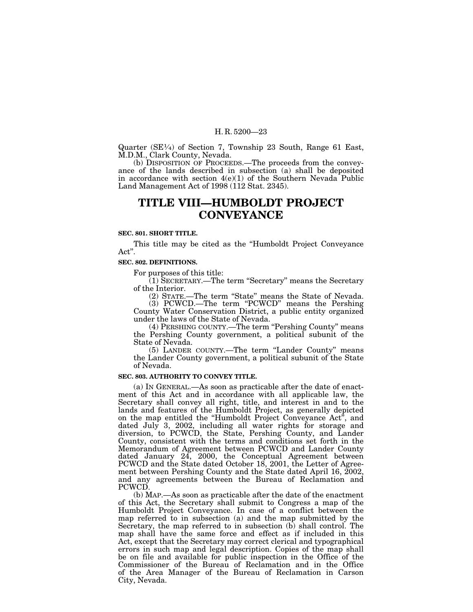Quarter (SE1⁄4) of Section 7, Township 23 South, Range 61 East, M.D.M., Clark County, Nevada.

(b) DISPOSITION OF PROCEEDS.—The proceeds from the conveyance of the lands described in subsection (a) shall be deposited in accordance with section 4(e)(1) of the Southern Nevada Public Land Management Act of 1998 (112 Stat. 2345).

## **TITLE VIII—HUMBOLDT PROJECT CONVEYANCE**

### **SEC. 801. SHORT TITLE.**

This title may be cited as the ''Humboldt Project Conveyance Act''.

### **SEC. 802. DEFINITIONS.**

For purposes of this title:

(1) SECRETARY.—The term ''Secretary'' means the Secretary of the Interior.

(2) STATE.—The term ''State'' means the State of Nevada. (3) PCWCD.—The term ''PCWCD'' means the Pershing County Water Conservation District, a public entity organized

under the laws of the State of Nevada. (4) PERSHING COUNTY.—The term ''Pershing County'' means the Pershing County government, a political subunit of the

State of Nevada. (5) LANDER COUNTY.—The term ''Lander County'' means the Lander County government, a political subunit of the State of Nevada.

## **SEC. 803. AUTHORITY TO CONVEY TITLE.**

(a) IN GENERAL.—As soon as practicable after the date of enactment of this Act and in accordance with all applicable law, the Secretary shall convey all right, title, and interest in and to the lands and features of the Humboldt Project, as generally depicted on the map entitled the ''Humboldt Project Conveyance Act'', and dated July 3, 2002, including all water rights for storage and diversion, to PCWCD, the State, Pershing County, and Lander County, consistent with the terms and conditions set forth in the Memorandum of Agreement between PCWCD and Lander County dated January 24, 2000, the Conceptual Agreement between PCWCD and the State dated October 18, 2001, the Letter of Agreement between Pershing County and the State dated April 16, 2002, and any agreements between the Bureau of Reclamation and PCWCD.

(b) MAP.—As soon as practicable after the date of the enactment of this Act, the Secretary shall submit to Congress a map of the Humboldt Project Conveyance. In case of a conflict between the map referred to in subsection (a) and the map submitted by the Secretary, the map referred to in subsection (b) shall control. The map shall have the same force and effect as if included in this Act, except that the Secretary may correct clerical and typographical errors in such map and legal description. Copies of the map shall be on file and available for public inspection in the Office of the Commissioner of the Bureau of Reclamation and in the Office of the Area Manager of the Bureau of Reclamation in Carson City, Nevada.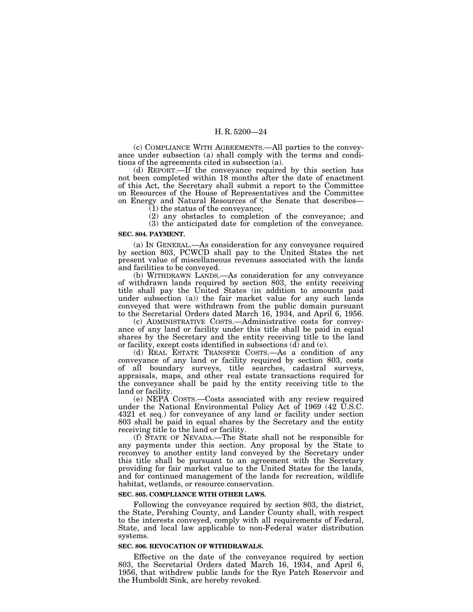(c) COMPLIANCE WITH AGREEMENTS.—All parties to the conveyance under subsection (a) shall comply with the terms and conditions of the agreements cited in subsection (a).

(d) REPORT.—If the conveyance required by this section has not been completed within 18 months after the date of enactment of this Act, the Secretary shall submit a report to the Committee on Resources of the House of Representatives and the Committee on Energy and Natural Resources of the Senate that describes— (1) the status of the conveyance;

(2) any obstacles to completion of the conveyance; and (3) the anticipated date for completion of the conveyance.

## **SEC. 804. PAYMENT.**

(a) IN GENERAL.—As consideration for any conveyance required by section 803, PCWCD shall pay to the United States the net present value of miscellaneous revenues associated with the lands and facilities to be conveyed.

(b) WITHDRAWN LANDS.—As consideration for any conveyance of withdrawn lands required by section 803, the entity receiving title shall pay the United States (in addition to amounts paid under subsection (a)) the fair market value for any such lands conveyed that were withdrawn from the public domain pursuant to the Secretarial Orders dated March 16, 1934, and April 6, 1956.

(c) ADMINISTRATIVE COSTS.—Administrative costs for conveyance of any land or facility under this title shall be paid in equal shares by the Secretary and the entity receiving title to the land or facility, except costs identified in subsections  $(d)$  and  $(e)$ .

(d) REAL ESTATE TRANSFER COSTS.—As a condition of any conveyance of any land or facility required by section 803, costs of all boundary surveys, title searches, cadastral surveys, appraisals, maps, and other real estate transactions required for the conveyance shall be paid by the entity receiving title to the land or facility.

(e) NEPA COSTS.—Costs associated with any review required under the National Environmental Policy Act of 1969 (42 U.S.C. 4321 et seq.) for conveyance of any land or facility under section 803 shall be paid in equal shares by the Secretary and the entity receiving title to the land or facility.

(f) STATE OF NEVADA.—The State shall not be responsible for any payments under this section. Any proposal by the State to reconvey to another entity land conveyed by the Secretary under this title shall be pursuant to an agreement with the Secretary providing for fair market value to the United States for the lands, and for continued management of the lands for recreation, wildlife habitat, wetlands, or resource conservation.

## **SEC. 805. COMPLIANCE WITH OTHER LAWS.**

Following the conveyance required by section 803, the district, the State, Pershing County, and Lander County shall, with respect to the interests conveyed, comply with all requirements of Federal, State, and local law applicable to non-Federal water distribution systems.

#### **SEC. 806. REVOCATION OF WITHDRAWALS.**

Effective on the date of the conveyance required by section 803, the Secretarial Orders dated March 16, 1934, and April 6, 1956, that withdrew public lands for the Rye Patch Reservoir and the Humboldt Sink, are hereby revoked.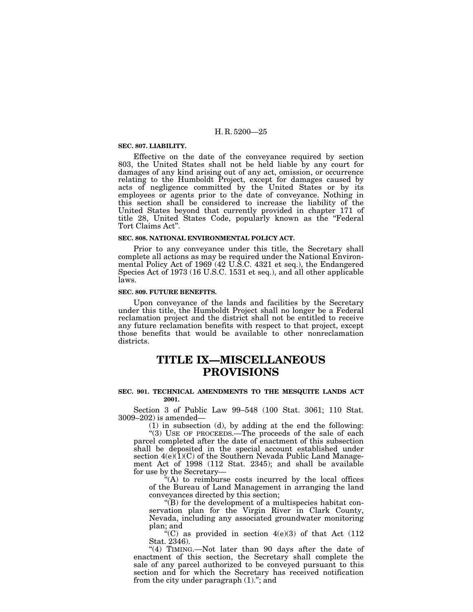#### **SEC. 807. LIABILITY.**

Effective on the date of the conveyance required by section 803, the United States shall not be held liable by any court for damages of any kind arising out of any act, omission, or occurrence relating to the Humboldt Project, except for damages caused by acts of negligence committed by the United States or by its employees or agents prior to the date of conveyance. Nothing in this section shall be considered to increase the liability of the United States beyond that currently provided in chapter 171 of title 28, United States Code, popularly known as the ''Federal Tort Claims Act''.

#### **SEC. 808. NATIONAL ENVIRONMENTAL POLICY ACT.**

Prior to any conveyance under this title, the Secretary shall complete all actions as may be required under the National Environmental Policy Act of 1969 (42 U.S.C. 4321 et seq.), the Endangered Species Act of 1973 (16 U.S.C. 1531 et seq.), and all other applicable laws.

## **SEC. 809. FUTURE BENEFITS.**

Upon conveyance of the lands and facilities by the Secretary under this title, the Humboldt Project shall no longer be a Federal reclamation project and the district shall not be entitled to receive any future reclamation benefits with respect to that project, except those benefits that would be available to other nonreclamation districts.

## **TITLE IX—MISCELLANEOUS PROVISIONS**

## **SEC. 901. TECHNICAL AMENDMENTS TO THE MESQUITE LANDS ACT 2001.**

Section 3 of Public Law 99–548 (100 Stat. 3061; 110 Stat. 3009–202) is amended—

(1) in subsection (d), by adding at the end the following: "(3) USE OF PROCEEDS.—The proceeds of the sale of each parcel completed after the date of enactment of this subsection shall be deposited in the special account established under section  $4(e)(1)(C)$  of the Southern Nevada Public Land Management Act of 1998 (112 Stat. 2345); and shall be available for use by the Secretary—

 $*(A)$  to reimburse costs incurred by the local offices of the Bureau of Land Management in arranging the land conveyances directed by this section;

 $\mathcal{L}(B)$  for the development of a multispecies habitat conservation plan for the Virgin River in Clark County, Nevada, including any associated groundwater monitoring plan; and

"(C) as provided in section  $4(e)(3)$  of that Act  $(112)$ Stat. 2346).

"(4) TIMING.—Not later than 90 days after the date of enactment of this section, the Secretary shall complete the sale of any parcel authorized to be conveyed pursuant to this section and for which the Secretary has received notification from the city under paragraph (1).''; and